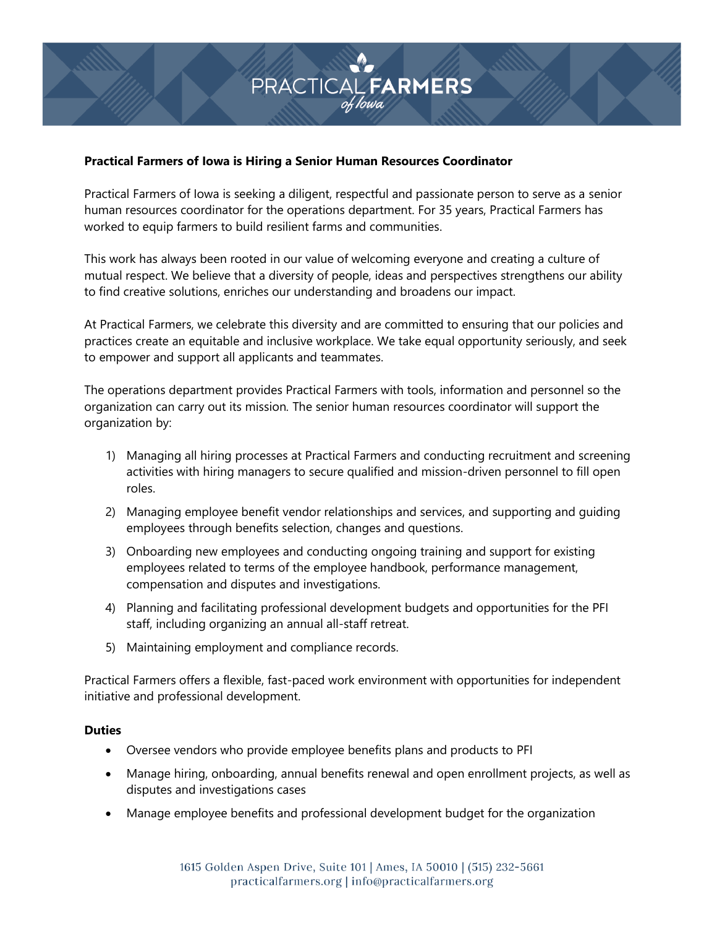

## **Practical Farmers of Iowa is Hiring a Senior Human Resources Coordinator**

Practical Farmers of Iowa is seeking a diligent, respectful and passionate person to serve as a senior human resources coordinator for the operations department. For 35 years, Practical Farmers has worked to equip farmers to build resilient farms and communities.

This work has always been rooted in our value of welcoming everyone and creating a culture of mutual respect. We believe that a diversity of people, ideas and perspectives strengthens our ability to find creative solutions, enriches our understanding and broadens our impact.

At Practical Farmers, we celebrate this diversity and are committed to ensuring that our policies and practices create an equitable and inclusive workplace. We take equal opportunity seriously, and seek to empower and support all applicants and teammates.

The operations department provides Practical Farmers with tools, information and personnel so the organization can carry out its mission*.* The senior human resources coordinator will support the organization by:

- 1) Managing all hiring processes at Practical Farmers and conducting recruitment and screening activities with hiring managers to secure qualified and mission-driven personnel to fill open roles.
- 2) Managing employee benefit vendor relationships and services, and supporting and guiding employees through benefits selection, changes and questions.
- 3) Onboarding new employees and conducting ongoing training and support for existing employees related to terms of the employee handbook, performance management, compensation and disputes and investigations.
- 4) Planning and facilitating professional development budgets and opportunities for the PFI staff, including organizing an annual all-staff retreat.
- 5) Maintaining employment and compliance records.

Practical Farmers offers a flexible, fast-paced work environment with opportunities for independent initiative and professional development.

## **Duties**

- Oversee vendors who provide employee benefits plans and products to PFI
- Manage hiring, onboarding, annual benefits renewal and open enrollment projects, as well as disputes and investigations cases
- Manage employee benefits and professional development budget for the organization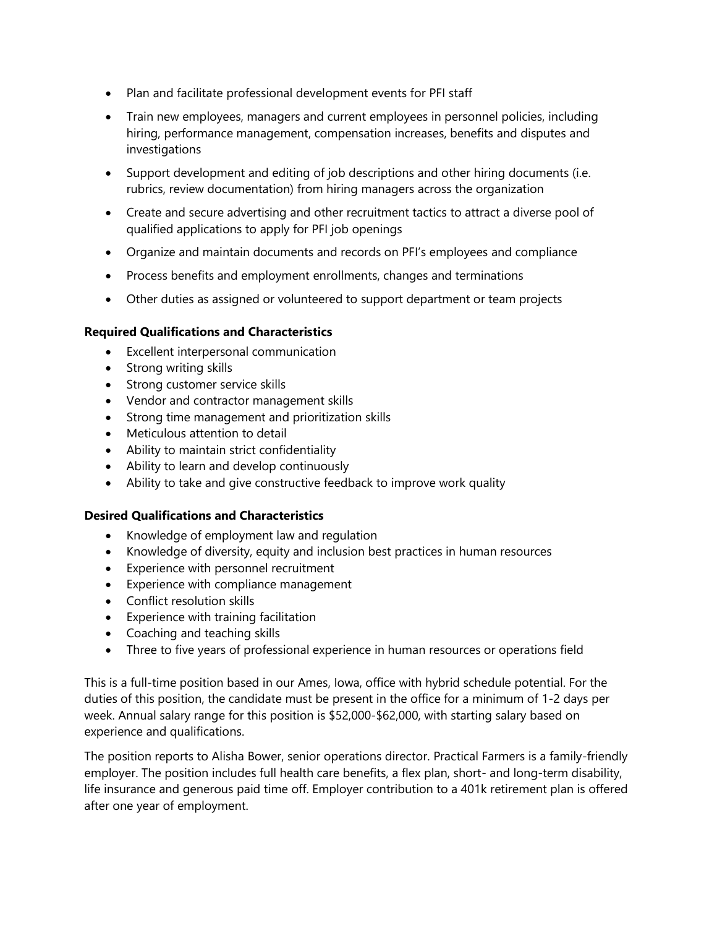- Plan and facilitate professional development events for PFI staff
- Train new employees, managers and current employees in personnel policies, including hiring, performance management, compensation increases, benefits and disputes and investigations
- Support development and editing of job descriptions and other hiring documents (i.e. rubrics, review documentation) from hiring managers across the organization
- Create and secure advertising and other recruitment tactics to attract a diverse pool of qualified applications to apply for PFI job openings
- Organize and maintain documents and records on PFI's employees and compliance
- Process benefits and employment enrollments, changes and terminations
- Other duties as assigned or volunteered to support department or team projects

## **Required Qualifications and Characteristics**

- Excellent interpersonal communication
- Strong writing skills
- Strong customer service skills
- Vendor and contractor management skills
- Strong time management and prioritization skills
- Meticulous attention to detail
- Ability to maintain strict confidentiality
- Ability to learn and develop continuously
- Ability to take and give constructive feedback to improve work quality

## **Desired Qualifications and Characteristics**

- Knowledge of employment law and regulation
- Knowledge of diversity, equity and inclusion best practices in human resources
- Experience with personnel recruitment
- Experience with compliance management
- Conflict resolution skills
- Experience with training facilitation
- Coaching and teaching skills
- Three to five years of professional experience in human resources or operations field

This is a full-time position based in our Ames, Iowa, office with hybrid schedule potential. For the duties of this position, the candidate must be present in the office for a minimum of 1-2 days per week. Annual salary range for this position is \$52,000-\$62,000, with starting salary based on experience and qualifications.

The position reports to Alisha Bower, senior operations director. Practical Farmers is a family-friendly employer. The position includes full health care benefits, a flex plan, short- and long-term disability, life insurance and generous paid time off. Employer contribution to a 401k retirement plan is offered after one year of employment.